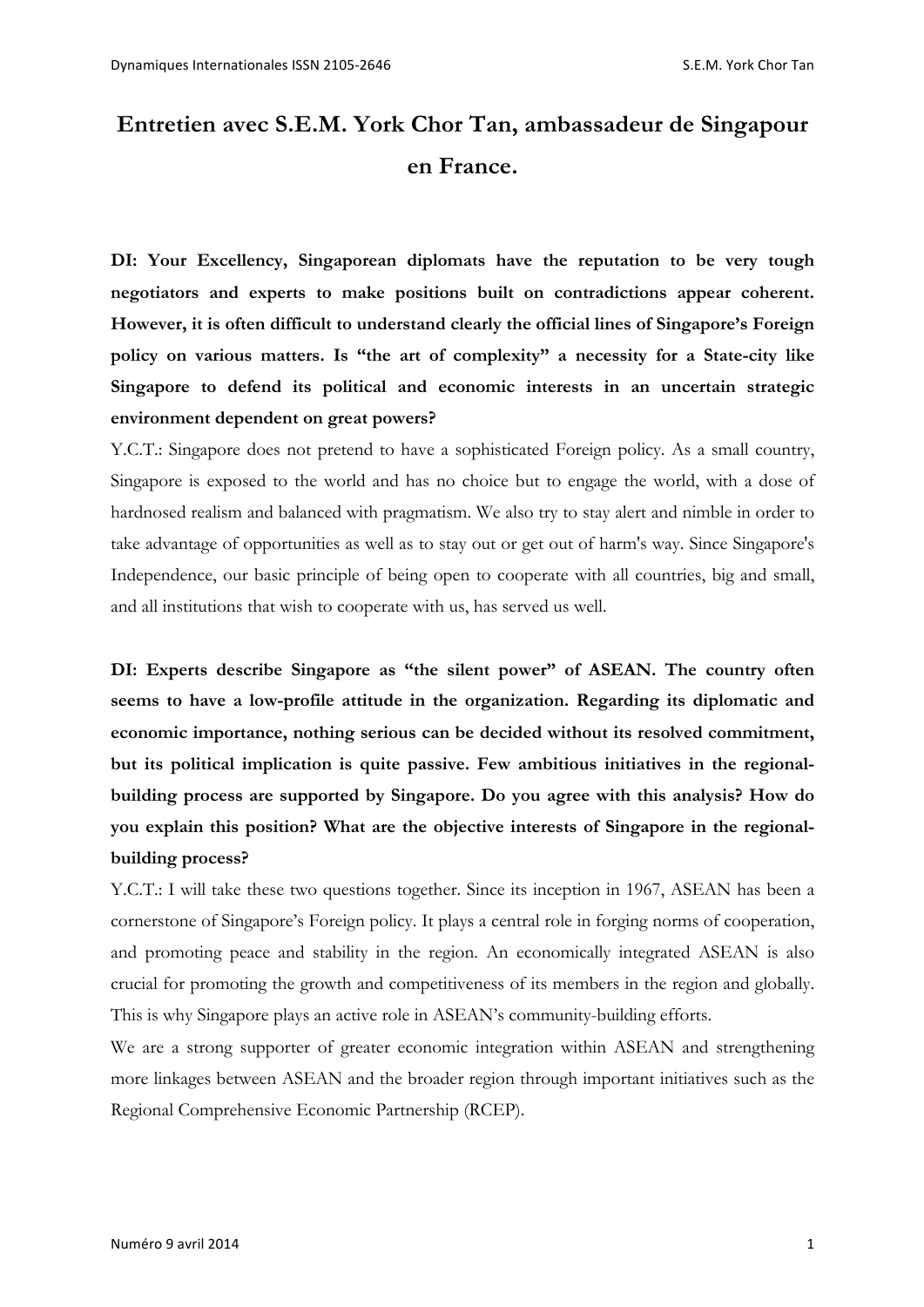# **Entretien avec S.E.M. York Chor Tan, ambassadeur de Singapour en France.**

**DI: Your Excellency, Singaporean diplomats have the reputation to be very tough negotiators and experts to make positions built on contradictions appear coherent. However, it is often difficult to understand clearly the official lines of Singapore's Foreign policy on various matters. Is "the art of complexity" a necessity for a State-city like Singapore to defend its political and economic interests in an uncertain strategic environment dependent on great powers?** 

Y.C.T.: Singapore does not pretend to have a sophisticated Foreign policy. As a small country, Singapore is exposed to the world and has no choice but to engage the world, with a dose of hardnosed realism and balanced with pragmatism. We also try to stay alert and nimble in order to take advantage of opportunities as well as to stay out or get out of harm's way. Since Singapore's Independence, our basic principle of being open to cooperate with all countries, big and small, and all institutions that wish to cooperate with us, has served us well.

**DI: Experts describe Singapore as "the silent power" of ASEAN. The country often seems to have a low-profile attitude in the organization. Regarding its diplomatic and economic importance, nothing serious can be decided without its resolved commitment, but its political implication is quite passive. Few ambitious initiatives in the regionalbuilding process are supported by Singapore. Do you agree with this analysis? How do you explain this position? What are the objective interests of Singapore in the regionalbuilding process?**

Y.C.T.: I will take these two questions together. Since its inception in 1967, ASEAN has been a cornerstone of Singapore's Foreign policy. It plays a central role in forging norms of cooperation, and promoting peace and stability in the region. An economically integrated ASEAN is also crucial for promoting the growth and competitiveness of its members in the region and globally. This is why Singapore plays an active role in ASEAN's community-building efforts.

We are a strong supporter of greater economic integration within ASEAN and strengthening more linkages between ASEAN and the broader region through important initiatives such as the Regional Comprehensive Economic Partnership (RCEP).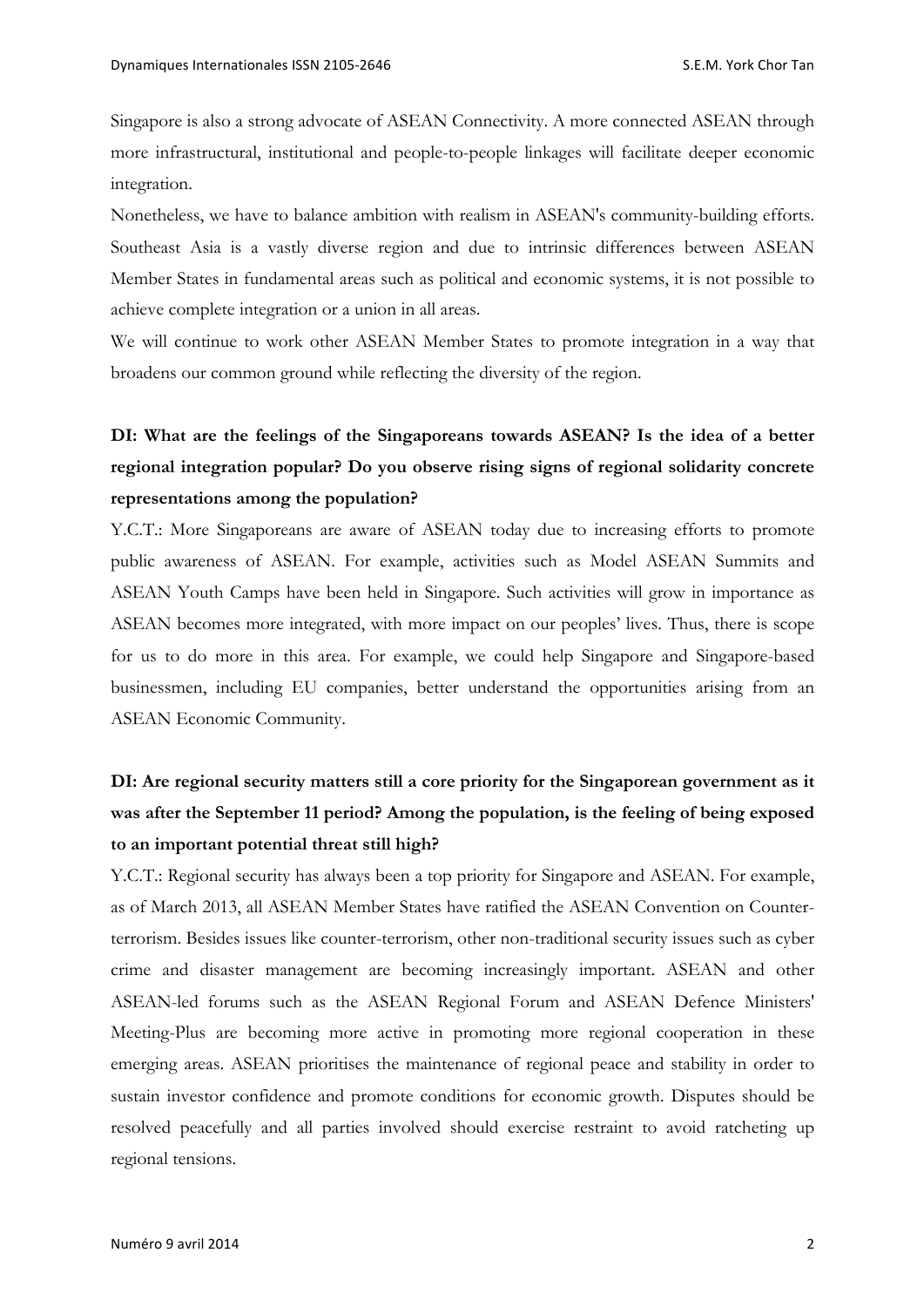Singapore is also a strong advocate of ASEAN Connectivity. A more connected ASEAN through more infrastructural, institutional and people-to-people linkages will facilitate deeper economic integration.

Nonetheless, we have to balance ambition with realism in ASEAN's community-building efforts. Southeast Asia is a vastly diverse region and due to intrinsic differences between ASEAN Member States in fundamental areas such as political and economic systems, it is not possible to achieve complete integration or a union in all areas.

We will continue to work other ASEAN Member States to promote integration in a way that broadens our common ground while reflecting the diversity of the region.

### **DI: What are the feelings of the Singaporeans towards ASEAN? Is the idea of a better regional integration popular? Do you observe rising signs of regional solidarity concrete representations among the population?**

Y.C.T.: More Singaporeans are aware of ASEAN today due to increasing efforts to promote public awareness of ASEAN. For example, activities such as Model ASEAN Summits and ASEAN Youth Camps have been held in Singapore. Such activities will grow in importance as ASEAN becomes more integrated, with more impact on our peoples' lives. Thus, there is scope for us to do more in this area. For example, we could help Singapore and Singapore-based businessmen, including EU companies, better understand the opportunities arising from an ASEAN Economic Community.

#### **DI: Are regional security matters still a core priority for the Singaporean government as it was after the September 11 period? Among the population, is the feeling of being exposed to an important potential threat still high?**

Y.C.T.: Regional security has always been a top priority for Singapore and ASEAN. For example, as of March 2013, all ASEAN Member States have ratified the ASEAN Convention on Counterterrorism. Besides issues like counter-terrorism, other non-traditional security issues such as cyber crime and disaster management are becoming increasingly important. ASEAN and other ASEAN-led forums such as the ASEAN Regional Forum and ASEAN Defence Ministers' Meeting-Plus are becoming more active in promoting more regional cooperation in these emerging areas. ASEAN prioritises the maintenance of regional peace and stability in order to sustain investor confidence and promote conditions for economic growth. Disputes should be resolved peacefully and all parties involved should exercise restraint to avoid ratcheting up regional tensions.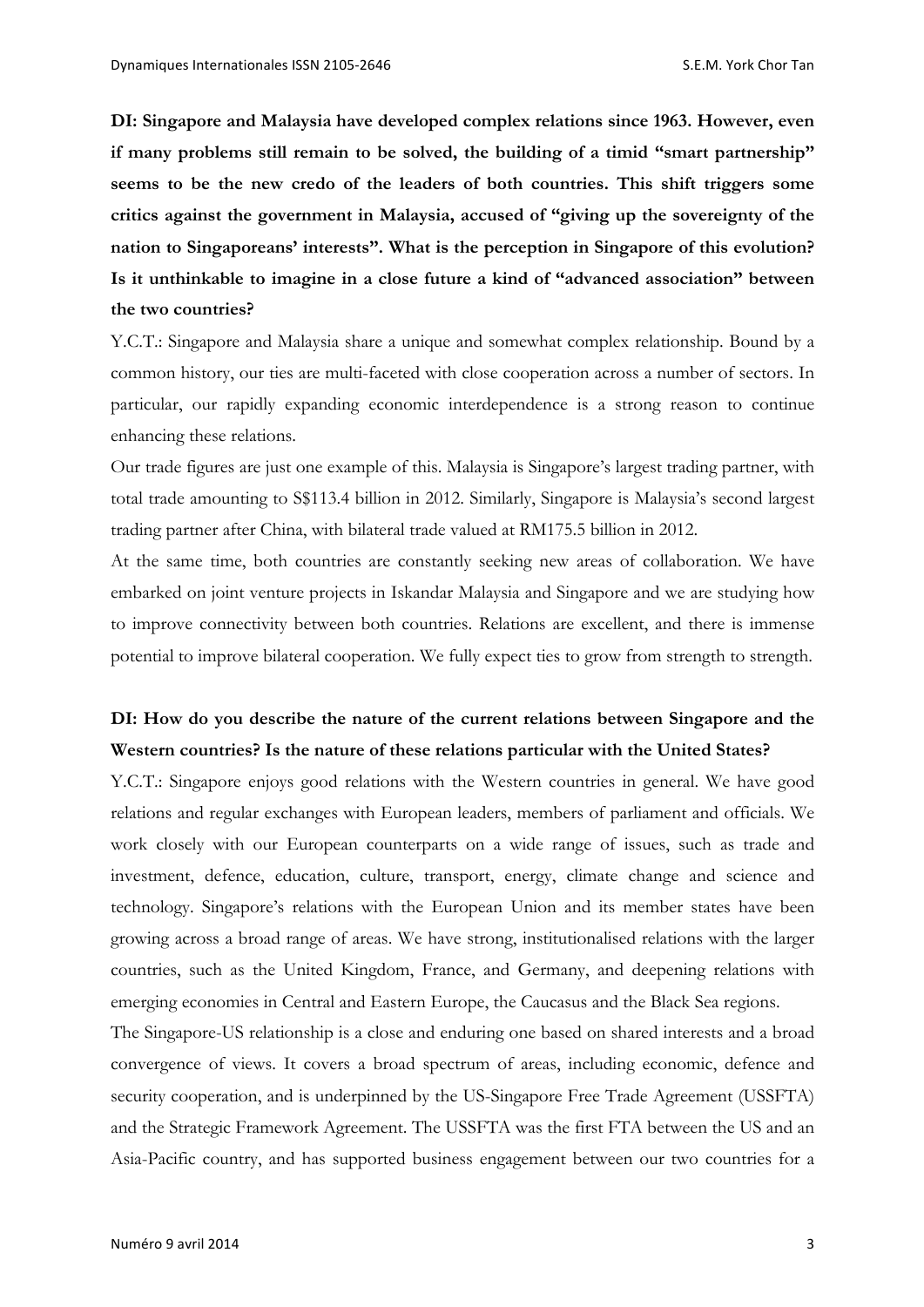**DI: Singapore and Malaysia have developed complex relations since 1963. However, even if many problems still remain to be solved, the building of a timid "smart partnership" seems to be the new credo of the leaders of both countries. This shift triggers some critics against the government in Malaysia, accused of "giving up the sovereignty of the nation to Singaporeans' interests". What is the perception in Singapore of this evolution? Is it unthinkable to imagine in a close future a kind of "advanced association" between the two countries?** 

Y.C.T.: Singapore and Malaysia share a unique and somewhat complex relationship. Bound by a common history, our ties are multi-faceted with close cooperation across a number of sectors. In particular, our rapidly expanding economic interdependence is a strong reason to continue enhancing these relations.

Our trade figures are just one example of this. Malaysia is Singapore's largest trading partner, with total trade amounting to S\$113.4 billion in 2012. Similarly, Singapore is Malaysia's second largest trading partner after China, with bilateral trade valued at RM175.5 billion in 2012.

At the same time, both countries are constantly seeking new areas of collaboration. We have embarked on joint venture projects in Iskandar Malaysia and Singapore and we are studying how to improve connectivity between both countries. Relations are excellent, and there is immense potential to improve bilateral cooperation. We fully expect ties to grow from strength to strength.

#### **DI: How do you describe the nature of the current relations between Singapore and the Western countries? Is the nature of these relations particular with the United States?**

Y.C.T.: Singapore enjoys good relations with the Western countries in general. We have good relations and regular exchanges with European leaders, members of parliament and officials. We work closely with our European counterparts on a wide range of issues, such as trade and investment, defence, education, culture, transport, energy, climate change and science and technology. Singapore's relations with the European Union and its member states have been growing across a broad range of areas. We have strong, institutionalised relations with the larger countries, such as the United Kingdom, France, and Germany, and deepening relations with emerging economies in Central and Eastern Europe, the Caucasus and the Black Sea regions.

The Singapore-US relationship is a close and enduring one based on shared interests and a broad convergence of views. It covers a broad spectrum of areas, including economic, defence and security cooperation, and is underpinned by the US-Singapore Free Trade Agreement (USSFTA) and the Strategic Framework Agreement. The USSFTA was the first FTA between the US and an Asia-Pacific country, and has supported business engagement between our two countries for a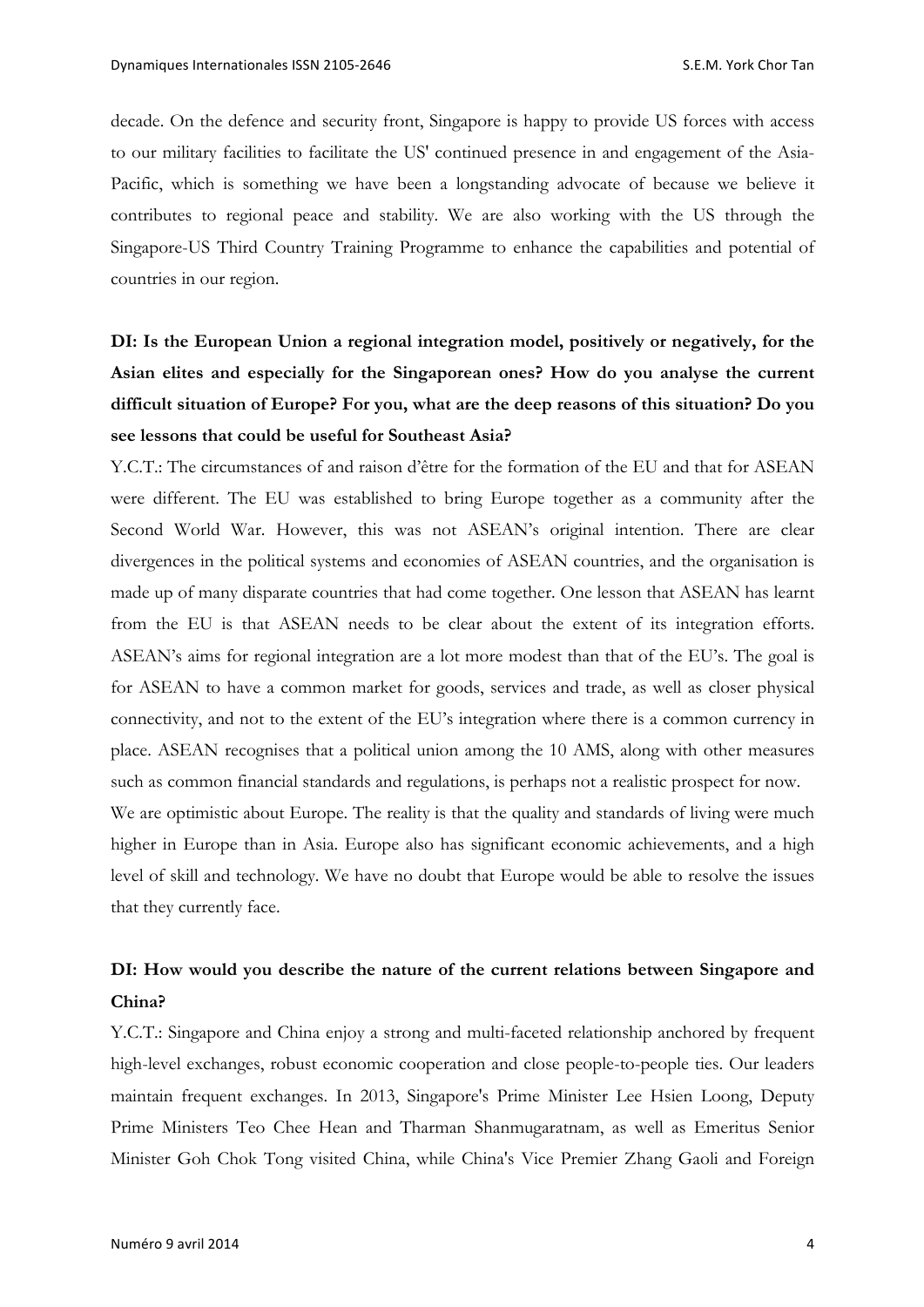decade. On the defence and security front, Singapore is happy to provide US forces with access to our military facilities to facilitate the US' continued presence in and engagement of the Asia-Pacific, which is something we have been a longstanding advocate of because we believe it contributes to regional peace and stability. We are also working with the US through the Singapore-US Third Country Training Programme to enhance the capabilities and potential of countries in our region.

## **DI: Is the European Union a regional integration model, positively or negatively, for the Asian elites and especially for the Singaporean ones? How do you analyse the current difficult situation of Europe? For you, what are the deep reasons of this situation? Do you see lessons that could be useful for Southeast Asia?**

Y.C.T.: The circumstances of and raison d'être for the formation of the EU and that for ASEAN were different. The EU was established to bring Europe together as a community after the Second World War. However, this was not ASEAN's original intention. There are clear divergences in the political systems and economies of ASEAN countries, and the organisation is made up of many disparate countries that had come together. One lesson that ASEAN has learnt from the EU is that ASEAN needs to be clear about the extent of its integration efforts. ASEAN's aims for regional integration are a lot more modest than that of the EU's. The goal is for ASEAN to have a common market for goods, services and trade, as well as closer physical connectivity, and not to the extent of the EU's integration where there is a common currency in place. ASEAN recognises that a political union among the 10 AMS, along with other measures such as common financial standards and regulations, is perhaps not a realistic prospect for now. We are optimistic about Europe. The reality is that the quality and standards of living were much

higher in Europe than in Asia. Europe also has significant economic achievements, and a high level of skill and technology. We have no doubt that Europe would be able to resolve the issues that they currently face.

#### **DI: How would you describe the nature of the current relations between Singapore and China?**

Y.C.T.: Singapore and China enjoy a strong and multi-faceted relationship anchored by frequent high-level exchanges, robust economic cooperation and close people-to-people ties. Our leaders maintain frequent exchanges. In 2013, Singapore's Prime Minister Lee Hsien Loong, Deputy Prime Ministers Teo Chee Hean and Tharman Shanmugaratnam, as well as Emeritus Senior Minister Goh Chok Tong visited China, while China's Vice Premier Zhang Gaoli and Foreign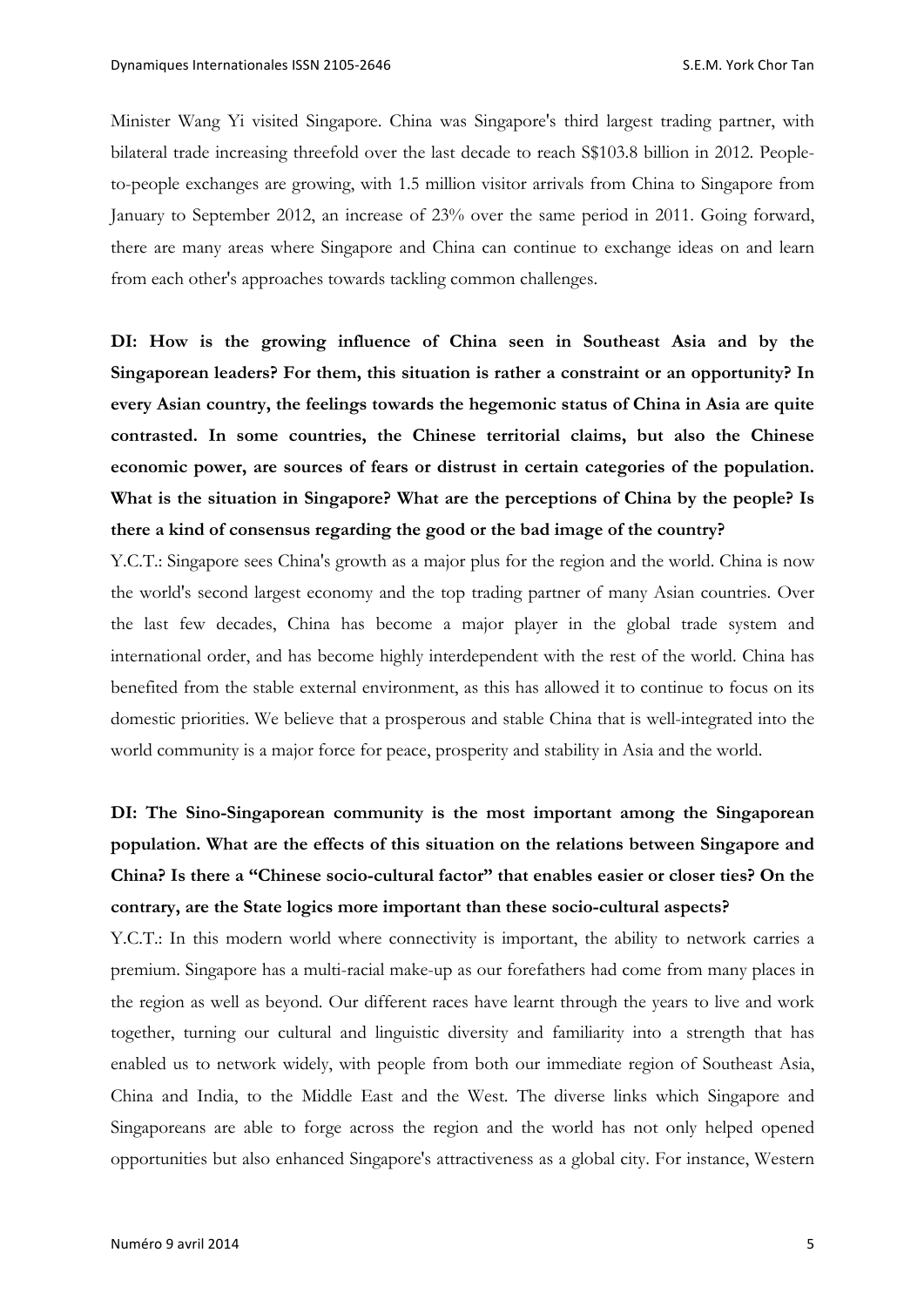Minister Wang Yi visited Singapore. China was Singapore's third largest trading partner, with bilateral trade increasing threefold over the last decade to reach S\$103.8 billion in 2012. Peopleto-people exchanges are growing, with 1.5 million visitor arrivals from China to Singapore from January to September 2012, an increase of 23% over the same period in 2011. Going forward, there are many areas where Singapore and China can continue to exchange ideas on and learn from each other's approaches towards tackling common challenges.

**DI: How is the growing influence of China seen in Southeast Asia and by the Singaporean leaders? For them, this situation is rather a constraint or an opportunity? In every Asian country, the feelings towards the hegemonic status of China in Asia are quite contrasted. In some countries, the Chinese territorial claims, but also the Chinese economic power, are sources of fears or distrust in certain categories of the population. What is the situation in Singapore? What are the perceptions of China by the people? Is there a kind of consensus regarding the good or the bad image of the country?** 

Y.C.T.: Singapore sees China's growth as a major plus for the region and the world. China is now the world's second largest economy and the top trading partner of many Asian countries. Over the last few decades, China has become a major player in the global trade system and international order, and has become highly interdependent with the rest of the world. China has benefited from the stable external environment, as this has allowed it to continue to focus on its domestic priorities. We believe that a prosperous and stable China that is well-integrated into the world community is a major force for peace, prosperity and stability in Asia and the world.

## **DI: The Sino-Singaporean community is the most important among the Singaporean population. What are the effects of this situation on the relations between Singapore and China? Is there a "Chinese socio-cultural factor" that enables easier or closer ties? On the contrary, are the State logics more important than these socio-cultural aspects?**

Y.C.T.: In this modern world where connectivity is important, the ability to network carries a premium. Singapore has a multi-racial make-up as our forefathers had come from many places in the region as well as beyond. Our different races have learnt through the years to live and work together, turning our cultural and linguistic diversity and familiarity into a strength that has enabled us to network widely, with people from both our immediate region of Southeast Asia, China and India, to the Middle East and the West. The diverse links which Singapore and Singaporeans are able to forge across the region and the world has not only helped opened opportunities but also enhanced Singapore's attractiveness as a global city. For instance, Western